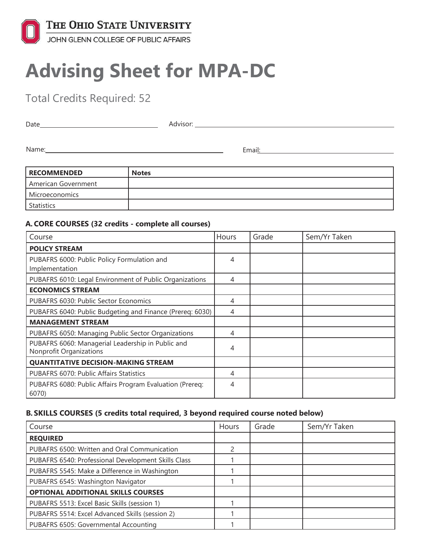

# **Advising Sheet for MPA-DC**

Total Credits Required: 52

| ∩ate | Advisor: |
|------|----------|
|      |          |

Name: Email:

| <b>RECOMMENDED</b>  | <b>Notes</b> |
|---------------------|--------------|
| American Government |              |
| Microeconomics      |              |
| <b>Statistics</b>   |              |

### **A. CORE COURSES (32 credits - complete all courses)**

| Course                                                                              | Hours | Grade | Sem/Yr Taken |
|-------------------------------------------------------------------------------------|-------|-------|--------------|
| <b>POLICY STREAM</b>                                                                |       |       |              |
| PUBAFRS 6000: Public Policy Formulation and<br>Implementation                       | 4     |       |              |
| PUBAFRS 6010: Legal Environment of Public Organizations                             | 4     |       |              |
| <b>ECONOMICS STREAM</b>                                                             |       |       |              |
| PUBAFRS 6030: Public Sector Economics                                               | 4     |       |              |
| PUBAFRS 6040: Public Budgeting and Finance (Prereq: 6030)                           | 4     |       |              |
| <b>MANAGEMENT STREAM</b>                                                            |       |       |              |
| PUBAFRS 6050: Managing Public Sector Organizations                                  | 4     |       |              |
| PUBAFRS 6060: Managerial Leadership in Public and<br><b>Nonprofit Organizations</b> | 4     |       |              |
| <b>QUANTITATIVE DECISION-MAKING STREAM</b>                                          |       |       |              |
| PUBAFRS 6070: Public Affairs Statistics                                             | 4     |       |              |
| PUBAFRS 6080: Public Affairs Program Evaluation (Prereg:<br>6070)                   | 4     |       |              |

## **B. SKILLS COURSES (5 credits total required, 3 beyond required course noted below)**

| Course                                              | Hours | Grade | Sem/Yr Taken |
|-----------------------------------------------------|-------|-------|--------------|
| <b>REQUIRED</b>                                     |       |       |              |
| PUBAFRS 6500: Written and Oral Communication        |       |       |              |
| PUBAFRS 6540: Professional Development Skills Class |       |       |              |
| PUBAFRS 5545: Make a Difference in Washington       |       |       |              |
| PUBAFRS 6545: Washington Navigator                  |       |       |              |
| <b>OPTIONAL ADDITIONAL SKILLS COURSES</b>           |       |       |              |
| PUBAFRS 5513: Excel Basic Skills (session 1)        |       |       |              |
| PUBAFRS 5514: Excel Advanced Skills (session 2)     |       |       |              |
| PUBAFRS 6505: Governmental Accounting               |       |       |              |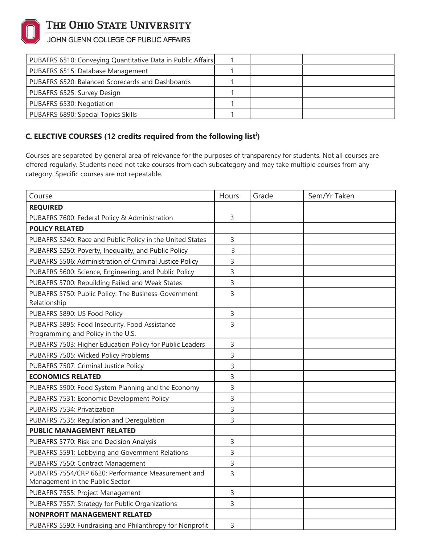

# THE OHIO STATE UNIVERSITY

## JOHN GLENN COLLEGE OF PUBLIC AFFAIRS

| PUBAFRS 6510: Conveying Quantitative Data in Public Affairs |  |  |
|-------------------------------------------------------------|--|--|
| PUBAFRS 6515: Database Management                           |  |  |
| PUBAFRS 6520: Balanced Scorecards and Dashboards            |  |  |
| PUBAFRS 6525: Survey Design                                 |  |  |
| PUBAFRS 6530: Negotiation                                   |  |  |
| PUBAFRS 6890: Special Topics Skills                         |  |  |

## **C. ELECTIVE COURSES (12 credits required from the following list<sup>i</sup> )**

Courses are separated by general area of relevance for the purposes of transparency for students. Not all courses are offered regularly. Students need not take courses from each subcategory and may take multiple courses from any category. Specific courses are not repeatable.

| Course                                                    | Hours        | Grade | Sem/Yr Taken |
|-----------------------------------------------------------|--------------|-------|--------------|
| <b>REQUIRED</b>                                           |              |       |              |
| PUBAFRS 7600: Federal Policy & Administration             |              |       |              |
| <b>POLICY RELATED</b>                                     |              |       |              |
| PUBAFRS 5240: Race and Public Policy in the United States | 3            |       |              |
| PUBAFRS 5250: Poverty, Inequality, and Public Policy      | 3            |       |              |
| PUBAFRS 5506: Administration of Criminal Justice Policy   | 3            |       |              |
| PUBAFRS 5600: Science, Engineering, and Public Policy     | 3            |       |              |
| PUBAFRS 5700: Rebuilding Failed and Weak States           | 3            |       |              |
| PUBAFRS 5750: Public Policy: The Business-Government      | 3            |       |              |
| Relationship                                              |              |       |              |
| PUBAFRS 5890: US Food Policy                              | 3            |       |              |
| PUBAFRS 5895: Food Insecurity, Food Assistance            | 3            |       |              |
| Programming and Policy in the U.S.                        |              |       |              |
| PUBAFRS 7503: Higher Education Policy for Public Leaders  | 3            |       |              |
| PUBAFRS 7505: Wicked Policy Problems                      | 3            |       |              |
| PUBAFRS 7507: Criminal Justice Policy                     | 3            |       |              |
| <b>ECONOMICS RELATED</b>                                  |              |       |              |
| PUBAFRS 5900: Food System Planning and the Economy        | 3            |       |              |
| PUBAFRS 7531: Economic Development Policy                 | 3            |       |              |
| PUBAFRS 7534: Privatization                               | 3            |       |              |
| PUBAFRS 7535: Regulation and Deregulation                 | 3            |       |              |
| <b>PUBLIC MANAGEMENT RELATED</b>                          |              |       |              |
| PUBAFRS 5770: Risk and Decision Analysis                  | 3            |       |              |
| PUBAFRS 5591: Lobbying and Government Relations           | 3            |       |              |
| PUBAFRS 7550: Contract Management                         | 3            |       |              |
| PUBAFRS 7554/CRP 6620: Performance Measurement and        | 3            |       |              |
| Management in the Public Sector                           |              |       |              |
| PUBAFRS 7555: Project Management                          | 3            |       |              |
| PUBAFRS 7557: Strategy for Public Organizations           | 3            |       |              |
| <b>NONPROFIT MANAGEMENT RELATED</b>                       |              |       |              |
| PUBAFRS 5590: Fundraising and Philanthropy for Nonprofit  | $\mathsf{3}$ |       |              |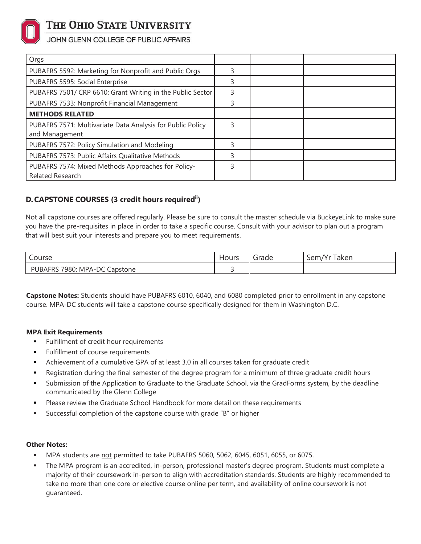

## THE OHIO STATE UNIVERSITY

JOHN GLENN COLLEGE OF PUBLIC AFFAIRS

| Orgs                                                                          |   |  |
|-------------------------------------------------------------------------------|---|--|
| PUBAFRS 5592: Marketing for Nonprofit and Public Orgs                         |   |  |
| PUBAFRS 5595: Social Enterprise                                               |   |  |
| PUBAFRS 7501/ CRP 6610: Grant Writing in the Public Sector                    |   |  |
| PUBAFRS 7533: Nonprofit Financial Management                                  |   |  |
| <b>METHODS RELATED</b>                                                        |   |  |
| PUBAFRS 7571: Multivariate Data Analysis for Public Policy<br>and Management  | ς |  |
| PUBAFRS 7572: Policy Simulation and Modeling                                  |   |  |
| PUBAFRS 7573: Public Affairs Qualitative Methods                              |   |  |
| PUBAFRS 7574: Mixed Methods Approaches for Policy-<br><b>Related Research</b> |   |  |

## **D.CAPSTONE COURSES (3 credit hours requiredii)**

Not all capstone courses are offered regularly. Please be sure to consult the master schedule via BuckeyeLink to make sure you have the pre-requisites in place in order to take a specific course. Consult with your advisor to plan out a program that will best suit your interests and prepare you to meet requirements.

| Course                                     | Hours | Grade | Taken<br>$\mathbf{r}$<br>Sem/Yr |
|--------------------------------------------|-------|-------|---------------------------------|
| 7980: MPA-DC<br><b>PUBAFRS</b><br>Capstone | -     |       |                                 |

**Capstone Notes:** Students should have PUBAFRS 6010, 6040, and 6080 completed prior to enrollment in any capstone course. MPA-DC students will take a capstone course specifically designed for them in Washington D.C.

#### **MPA Exit Requirements**

- **Fulfillment of credit hour requirements**
- Fulfillment of course requirements
- Achievement of a cumulative GPA of at least 3.0 in all courses taken for graduate credit
- Registration during the final semester of the degree program for a minimum of three graduate credit hours
- Submission of the Application to Graduate to the Graduate School, via the GradForms system, by the deadline communicated by the Glenn College
- **Please review the Graduate School Handbook for more detail on these requirements**
- Successful completion of the capstone course with grade "B" or higher

#### **Other Notes:**

- MPA students are not permitted to take PUBAFRS 5060, 5062, 6045, 6051, 6055, or 6075.
- The MPA program is an accredited, in-person, professional master's degree program. Students must complete a majority of their coursework in-person to align with accreditation standards. Students are highly recommended to take no more than one core or elective course online per term, and availability of online coursework is not guaranteed.